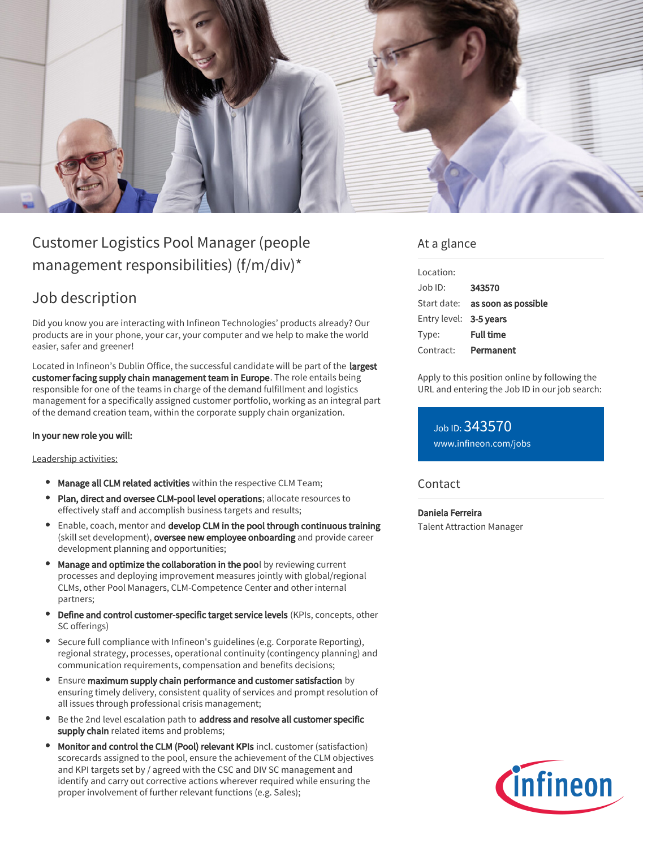

# Customer Logistics Pool Manager (people management responsibilities) (f/m/div)\*

# Job description

Did you know you are interacting with Infineon Technologies' products already? Our products are in your phone, your car, your computer and we help to make the world easier, safer and greener!

Located in Infineon's Dublin Office, the successful candidate will be part of the largest customer facing supply chain management team in Europe. The role entails being responsible for one of the teams in charge of the demand fulfillment and logistics management for a specifically assigned customer portfolio, working as an integral part of the demand creation team, within the corporate supply chain organization.

#### In your new role you will:

#### Leadership activities:

- **Manage all CLM related activities** within the respective CLM Team;
- Plan, direct and oversee CLM-pool level operations; allocate resources to effectively staff and accomplish business targets and results;
- **Enable, coach, mentor and develop CLM in the pool through continuous training** (skill set development), oversee new employee onboarding and provide career development planning and opportunities;
- Manage and optimize the collaboration in the pool by reviewing current processes and deploying improvement measures jointly with global/regional CLMs, other Pool Managers, CLM-Competence Center and other internal partners;
- Define and control customer-specific target service levels (KPIs, concepts, other SC offerings)
- Secure full compliance with Infineon's guidelines (e.g. Corporate Reporting), regional strategy, processes, operational continuity (contingency planning) and communication requirements, compensation and benefits decisions;
- Ensure maximum supply chain performance and customer satisfaction by ensuring timely delivery, consistent quality of services and prompt resolution of all issues through professional crisis management;
- Be the 2nd level escalation path to address and resolve all customer specific supply chain related items and problems;
- Monitor and control the CLM (Pool) relevant KPIs incl. customer (satisfaction) scorecards assigned to the pool, ensure the achievement of the CLM objectives and KPI targets set by / agreed with the CSC and DIV SC management and identify and carry out corrective actions wherever required while ensuring the proper involvement of further relevant functions (e.g. Sales);

### At a glance

| Location:              |                                        |
|------------------------|----------------------------------------|
| $.$ lob $1D$ :         | 343570                                 |
|                        | Start date: <b>as soon as possible</b> |
| Entry level: 3-5 years |                                        |
| Type:                  | <b>Full time</b>                       |
| Contract:              | Permanent                              |

Apply to this position online by following the URL and entering the Job ID in our job search:

Job ID: 343570 [www.infineon.com/jobs](https://www.infineon.com/jobs)

### **Contact**

Daniela Ferreira Talent Attraction Manager

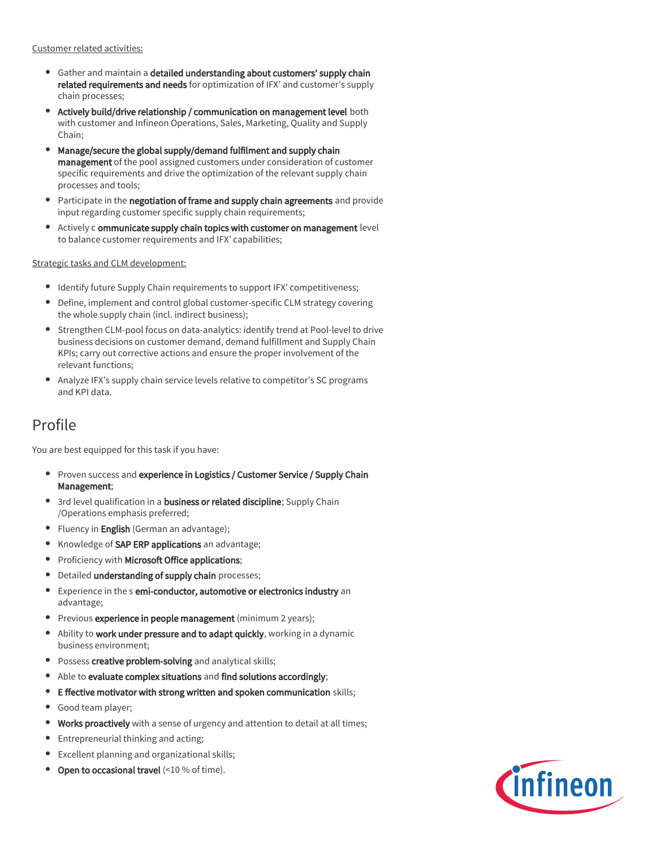Customer related activities:

- Gather and maintain a detailed understanding about customers' supply chain related requirements and needs for optimization of IFX' and customer's supply chain processes;
- Actively build/drive relationship / communication on management level both with customer and Infineon Operations, Sales, Marketing, Quality and Supply Chain;
- Manage/secure the global supply/demand fulfilment and supply chain  $\bullet$ management of the pool assigned customers under consideration of customer specific requirements and drive the optimization of the relevant supply chain processes and tools;
- Participate in the negotiation of frame and supply chain agreements and provide  $\bullet$ input regarding customer specific supply chain requirements;
- $\bullet$ Actively c ommunicate supply chain topics with customer on management level to balance customer requirements and IFX' capabilities;

Strategic tasks and CLM development:

- Identify future Supply Chain requirements to support IFX' competitiveness;
- Define, implement and control global customer-specific CLM strategy covering the whole supply chain (incl. indirect business);
- Strengthen CLM-pool focus on data-analytics: identify trend at Pool-level to drive business decisions on customer demand, demand fulfillment and Supply Chain KPIs; carry out corrective actions and ensure the proper involvement of the relevant functions;
- $\bullet$ Analyze IFX's supply chain service levels relative to competitor's SC programs and KPI data.

### Profile

You are best equipped for this task if you have:

- $\bullet$ Proven success and experience in Logistics / Customer Service / Supply Chain Management;
- 3rd level qualification in a **business or related discipline**; Supply Chain /Operations emphasis preferred;
- Fluency in English (German an advantage);
- Knowledge of SAP ERP applications an advantage;
- Proficiency with Microsoft Office applications;
- Detailed understanding of supply chain processes;
- Experience in the s emi-conductor, automotive or electronics industry an advantage;
- **Previous experience in people management** (minimum 2 years);
- Ability to work under pressure and to adapt quickly, working in a dynamic  $\bullet$ business environment;
- **Possess creative problem-solving** and analytical skills;
- Able to evaluate complex situations and find solutions accordingly;  $\bullet$
- $\bullet$ E ffective motivator with strong written and spoken communication skills;
- Good team player;
- Works proactively with a sense of urgency and attention to detail at all times;
- Entrepreneurial thinking and acting;
- Excellent planning and organizational skills;
- Open to occasional travel (<10 % of time).